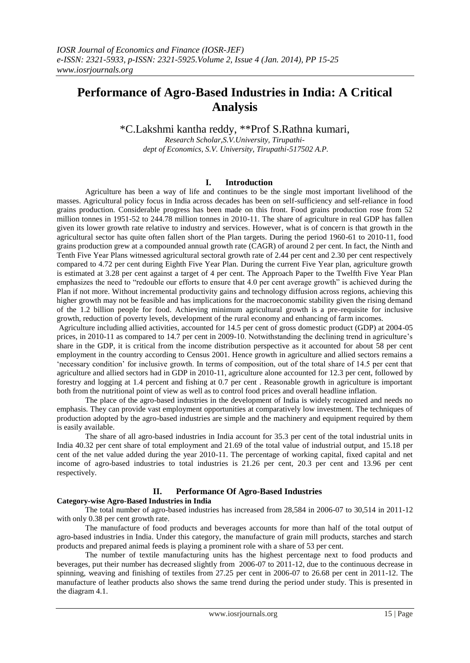# **Performance of Agro-Based Industries in India: A Critical Analysis**

\*C.Lakshmi kantha reddy, \*\*Prof S.Rathna kumari,

*Research Scholar,S.V.University, Tirupathidept of Economics, S.V. University, Tirupathi-517502 A.P.*

# **I. Introduction**

Agriculture has been a way of life and continues to be the single most important livelihood of the masses. Agricultural policy focus in India across decades has been on self-sufficiency and self-reliance in food grains production. Considerable progress has been made on this front. Food grains production rose from 52 million tonnes in 1951-52 to 244.78 million tonnes in 2010-11. The share of agriculture in real GDP has fallen given its lower growth rate relative to industry and services. However, what is of concern is that growth in the agricultural sector has quite often fallen short of the Plan targets. During the period 1960-61 to 2010-11, food grains production grew at a compounded annual growth rate (CAGR) of around 2 per cent. In fact, the Ninth and Tenth Five Year Plans witnessed agricultural sectoral growth rate of 2.44 per cent and 2.30 per cent respectively compared to 4.72 per cent during Eighth Five Year Plan. During the current Five Year plan, agriculture growth is estimated at 3.28 per cent against a target of 4 per cent. The Approach Paper to the Twelfth Five Year Plan emphasizes the need to "redouble our efforts to ensure that 4.0 per cent average growth" is achieved during the Plan if not more. Without incremental productivity gains and technology diffusion across regions, achieving this higher growth may not be feasible and has implications for the macroeconomic stability given the rising demand of the 1.2 billion people for food. Achieving minimum agricultural growth is a pre-requisite for inclusive growth, reduction of poverty levels, development of the rural economy and enhancing of farm incomes.

Agriculture including allied activities, accounted for 14.5 per cent of gross domestic product (GDP) at 2004-05 prices, in 2010-11 as compared to 14.7 per cent in 2009-10. Notwithstanding the declining trend in agriculture"s share in the GDP, it is critical from the income distribution perspective as it accounted for about 58 per cent employment in the country according to Census 2001. Hence growth in agriculture and allied sectors remains a "necessary condition" for inclusive growth. In terms of composition, out of the total share of 14.5 per cent that agriculture and allied sectors had in GDP in 2010-11, agriculture alone accounted for 12.3 per cent, followed by forestry and logging at 1.4 percent and fishing at 0.7 per cent . Reasonable growth in agriculture is important both from the nutritional point of view as well as to control food prices and overall headline inflation.

The place of the agro-based industries in the development of India is widely recognized and needs no emphasis. They can provide vast employment opportunities at comparatively low investment. The techniques of production adopted by the agro-based industries are simple and the machinery and equipment required by them is easily available.

The share of all agro-based industries in India account for 35.3 per cent of the total industrial units in India 40.32 per cent share of total employment and 21.69 of the total value of industrial output, and 15.18 per cent of the net value added during the year 2010-11. The percentage of working capital, fixed capital and net income of agro-based industries to total industries is 21.26 per cent, 20.3 per cent and 13.96 per cent respectively.

# **II. Performance Of Agro-Based Industries**

# **Category-wise Agro-Based Industries in India**

The total number of agro-based industries has increased from 28,584 in 2006-07 to 30,514 in 2011-12 with only 0.38 per cent growth rate.

The manufacture of food products and beverages accounts for more than half of the total output of agro-based industries in India. Under this category, the manufacture of grain mill products, starches and starch products and prepared animal feeds is playing a prominent role with a share of 53 per cent.

The number of textile manufacturing units has the highest percentage next to food products and beverages, put their number has decreased slightly from 2006-07 to 2011-12, due to the continuous decrease in spinning, weaving and finishing of textiles from 27.25 per cent in 2006-07 to 26.68 per cent in 2011-12. The manufacture of leather products also shows the same trend during the period under study. This is presented in the diagram 4.1.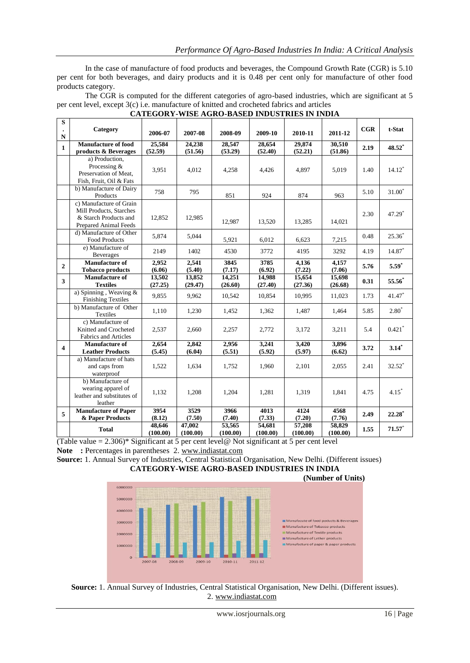In the case of manufacture of food products and beverages, the Compound Growth Rate (CGR) is 5.10 per cent for both beverages, and dairy products and it is 0.48 per cent only for manufacture of other food products category.

The CGR is computed for the different categories of agro-based industries, which are significant at 5 per cent level, except 3(c) i.e. manufacture of knitted and crocheted fabrics and articles

| ${\bf S}$      |                                                                                                             |                    |                    |                    |                    |                    |                    |      |                      |
|----------------|-------------------------------------------------------------------------------------------------------------|--------------------|--------------------|--------------------|--------------------|--------------------|--------------------|------|----------------------|
| $\bullet$<br>N | Category                                                                                                    | 2006-07            | 2007-08            | 2008-09            | 2009-10            | 2010-11            | 2011-12            | CGR  | t-Stat               |
| $\mathbf{1}$   | <b>Manufacture of food</b><br>products & Beverages                                                          | 25,584<br>(52.59)  | 24,238<br>(51.56)  | 28,547<br>(53.29)  | 28,654<br>(52.40)  | 29,874<br>(52.21)  | 30,510<br>(51.86)  | 2.19 | 48.52*               |
|                | a) Production,<br>Processing &<br>Preservation of Meat,<br>Fish, Fruit, Oil & Fats                          | 3,951              | 4,012              | 4,258              | 4,426              | 4,897              | 5,019              | 1.40 | $14.12*$             |
|                | b) Manufacture of Dairy<br>Products                                                                         | 758                | 795                | 851                | 924                | 874                | 963                | 5.10 | $31.00*$             |
|                | c) Manufacture of Grain<br>Mill Products, Starches<br>& Starch Products and<br><b>Prepared Animal Feeds</b> | 12,852             | 12,985             | 12,987             | 13,520             | 13,285             | 14,021             | 2.30 | 47.29 <sup>*</sup>   |
|                | d) Manufacture of Other<br>Food Products                                                                    | 5,874              | 5,044              | 5,921              | 6,012              | 6,623              | 7,215              | 0.48 | $25.36*$             |
|                | e) Manufacture of<br>Beverages                                                                              | 2149               | 1402               | 4530               | 3772               | 4195               | 3292               | 4.19 | 14.87                |
| $\overline{2}$ | <b>Manufacture of</b><br><b>Tobacco</b> products                                                            | 2,952<br>(6.06)    | 2,541<br>(5.40)    | 3845<br>(7.17)     | 3785<br>(6.92)     | 4,136<br>(7.22)    | 4,157<br>(7.06)    | 5.76 | $5.59*$              |
| $\mathbf{3}$   | <b>Manufacture of</b><br><b>Textiles</b>                                                                    | 13,502<br>(27.25)  | 13,852<br>(29.47)  | 14,251<br>(26.60)  | 14,988<br>(27.40)  | 15,654<br>(27.36)  | 15,698<br>(26.68)  | 0.31 | 55.56                |
|                | a) Spinning, Weaving &<br><b>Finishing Textiles</b>                                                         | 9,855              | 9,962              | 10,542             | 10,854             | 10,995             | 11,023             | 1.73 | 41.47*               |
|                | b) Manufacture of Other<br>Textiles                                                                         | 1,110              | 1,230              | 1,452              | 1,362              | 1,487              | 1,464              | 5.85 | $2.80*$              |
|                | c) Manufacture of<br>Knitted and Crocheted<br>Fabrics and Articles                                          | 2,537              | 2,660              | 2,257              | 2,772              | 3,172              | 3.211              | 5.4  | $0.421$ <sup>*</sup> |
| 4              | <b>Manufacture of</b><br><b>Leather Products</b>                                                            | 2,654<br>(5.45)    | 2,842<br>(6.04)    | 2,956<br>(5.51)    | 3,241<br>(5.92)    | 3,420<br>(5.97)    | 3,896<br>(6.62)    | 3.72 | $3.14*$              |
|                | a) Manufacture of hats<br>and caps from<br>waterproof                                                       | 1,522              | 1,634              | 1,752              | 1,960              | 2,101              | 2,055              | 2.41 | 32.52*               |
|                | b) Manufacture of<br>wearing apparel of<br>leather and substitutes of<br>leather                            | 1,132              | 1,208              | 1,204              | 1,281              | 1,319              | 1,841              | 4.75 | $4.15*$              |
| 5              | <b>Manufacture of Paper</b><br>& Paper Products                                                             | 3954<br>(8.12)     | 3529<br>(7.50)     | 3966<br>(7.40)     | 4013<br>(7.33)     | 4124<br>(7.20)     | 4568<br>(7.76)     | 2.49 | $22.28*$             |
|                | <b>Total</b>                                                                                                | 48,646<br>(100.00) | 47,002<br>(100.00) | 53,565<br>(100.00) | 54,681<br>(100.00) | 57,208<br>(100.00) | 58,829<br>(100.00) | 1.55 | 71.57                |

# **CATEGORY-WISE AGRO-BASED INDUSTRIES IN INDIA**

(Table value =  $2.306$ )\* Significant at 5 per cent level@ Not significant at 5 per cent level Note : Percentages in parentheses 2. [www.indiastat.com](http://www.indiastat.com/)

**Source:** 1. Annual Survey of Industries, Central Statistical Organisation, New Delhi. (Different issues) **CATEGORY-WISE AGRO-BASED INDUSTRIES IN INDIA** 



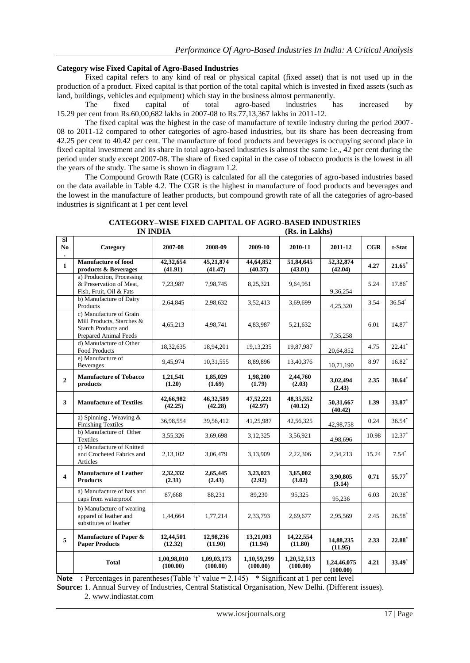# **Category wise Fixed Capital of Agro-Based Industries**

Fixed capital refers to any kind of real or physical capital (fixed asset) that is not used up in the production of a product. Fixed capital is that portion of the total capital which is invested in fixed assets (such as land, buildings, vehicles and equipment) which stay in the business almost permanently.<br>The fixed capital of total agro-based industries h

The fixed capital of total agro-based industries has increased by 15.29 per cent from Rs.60,00,682 lakhs in 2007-08 to Rs.77,13,367 lakhs in 2011-12.

The fixed capital was the highest in the case of manufacture of textile industry during the period 2007- 08 to 2011-12 compared to other categories of agro-based industries, but its share has been decreasing from 42.25 per cent to 40.42 per cent. The manufacture of food products and beverages is occupying second place in fixed capital investment and its share in total agro-based industries is almost the same i.e., 42 per cent during the period under study except 2007-08. The share of fixed capital in the case of tobacco products is the lowest in all the years of the study. The same is shown in diagram 1.2.

The Compound Growth Rate (CGR) is calculated for all the categories of agro-based industries based on the data available in Table 4.2. The CGR is the highest in manufacture of food products and beverages and the lowest in the manufacture of leather products, but compound growth rate of all the categories of agro-based industries is significant at 1 per cent level

|                         |                                                                                                             | <b>IN INDIA</b>         |                         |                         | (Rs. in Lakhs)          |                         |       |                      |  |
|-------------------------|-------------------------------------------------------------------------------------------------------------|-------------------------|-------------------------|-------------------------|-------------------------|-------------------------|-------|----------------------|--|
| SI<br>N <sub>0</sub>    | Category                                                                                                    | 2007-08                 | 2008-09                 | 2009-10                 | 2010-11                 | 2011-12                 | CGR   | t-Stat               |  |
| $\mathbf{1}$            | <b>Manufacture of food</b><br>products & Beverages                                                          | 42,32,654<br>(41.91)    | 45,21,874<br>(41.47)    | 44,64,852<br>(40.37)    | 51,84,645<br>(43.01)    | 52,32,874<br>(42.04)    | 4.27  | $21.65*$             |  |
|                         | a) Production, Processing<br>& Preservation of Meat,<br>Fish, Fruit, Oil & Fats                             | 7,23,987                | 7,98,745                | 8,25,321                | 9,64,951                | 9,36,254                | 5.24  | $17.86^{*}$          |  |
|                         | b) Manufacture of Dairy<br>Products                                                                         | 2,64,845                | 2,98,632                | 3,52,413                | 3,69,699                | 4,25,320                | 3.54  | $36.54*$             |  |
|                         | c) Manufacture of Grain<br>Mill Products, Starches &<br><b>Starch Products and</b><br>Prepared Animal Feeds | 4,65,213                | 4,98,741                | 4,83,987                | 5, 21, 632              | 7,35,258                | 6.01  | 14.87*               |  |
|                         | d) Manufacture of Other<br><b>Food Products</b>                                                             | 18,32,635               | 18,94,201               | 19, 13, 235             | 19,87,987               | 20,64,852               | 4.75  | $22.41$ <sup>*</sup> |  |
|                         | e) Manufacture of<br><b>Beverages</b>                                                                       | 9,45,974                | 10,31,555               | 8,89,896                | 13,40,376               | 10,71,190               | 8.97  | $16.82*$             |  |
| $\overline{2}$          | <b>Manufacture of Tobacco</b><br>products                                                                   | 1,21,541<br>(1.20)      | 1,85,029<br>(1.69)      | 1,98,200<br>(1.79)      | 2,44,760<br>(2.03)      | 3,02,494<br>(2.43)      | 2.35  | $30.64$ <sup>*</sup> |  |
| 3                       | <b>Manufacture of Textiles</b>                                                                              | 42,66,982<br>(42.25)    | 46,32,589<br>(42.28)    | 47,52,221<br>(42.97)    | 48, 35, 552<br>(40.12)  | 50,31,667<br>(40.42)    | 1.39  | 33.87*               |  |
|                         | a) Spinning, Weaving &<br><b>Finishing Textiles</b>                                                         | 36,98,554               | 39,56,412               | 41,25,987               | 42,56,325               | 42,98,758               | 0.24  | $36.54*$             |  |
|                         | b) Manufacture of Other<br>Textiles                                                                         | 3,55,326                | 3,69,698                | 3,12,325                | 3,56,921                | 4,98,696                | 10.98 | $12.37*$             |  |
|                         | c) Manufacture of Knitted<br>and Crocheted Fabrics and<br>Articles                                          | 2,13,102                | 3,06,479                | 3,13,909                | 2,22,306                | 2,34,213                | 15.24 | $7.54*$              |  |
| $\overline{\mathbf{4}}$ | <b>Manufacture of Leather</b><br><b>Products</b>                                                            | 2,32,332<br>(2.31)      | 2,65,445<br>(2.43)      | 3,23,023<br>(2.92)      | 3,65,002<br>(3.02)      | 3,90,805<br>(3.14)      | 0.71  | 55.77*               |  |
|                         | a) Manufacture of hats and<br>caps from waterproof                                                          | 87,668                  | 88,231                  | 89,230                  | 95,325                  | 95,236                  | 6.03  | $20.38^\circ$        |  |
|                         | b) Manufacture of wearing<br>apparel of leather and<br>substitutes of leather                               | 1,44,664                | 1,77,214                | 2,33,793                | 2,69,677                | 2,95,569                | 2.45  | $26.58$ <sup>*</sup> |  |
| 5                       | Manufacture of Paper &<br><b>Paper Products</b>                                                             | 12,44,501<br>(12.32)    | 12,98,236<br>(11.90)    | 13,21,003<br>(11.94)    | 14,22,554<br>(11.80)    | 14,88,235<br>(11.95)    | 2.33  | $22.88*$             |  |
|                         | <b>Total</b>                                                                                                | 1,00,98,010<br>(100.00) | 1,09,03,173<br>(100.00) | 1,10,59,299<br>(100.00) | 1,20,52,513<br>(100.00) | 1,24,46,075<br>(100.00) | 4.21  | 33.49*               |  |

**CATEGORY–WISE FIXED CAPITAL OF AGRO-BASED INDUSTRIES** 

**Note** : Percentages in parentheses (Table 't' value =  $2.145$ ) \* Significant at 1 per cent level

**Source:** 1. Annual Survey of Industries, Central Statistical Organisation, New Delhi. (Different issues).

2. [www.indiastat.com](http://www.indiastat.com/)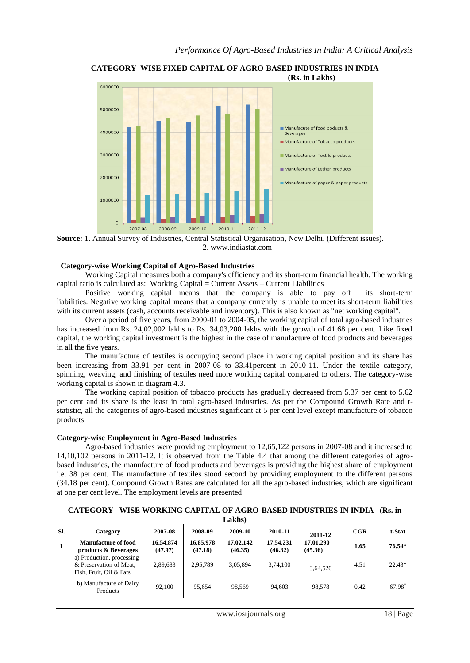

**CATEGORY–WISE FIXED CAPITAL OF AGRO-BASED INDUSTRIES IN INDIA** 

**Source:** 1. Annual Survey of Industries, Central Statistical Organisation, New Delhi. (Different issues). 2. [www.indiastat.com](http://www.indiastat.com/)

# **Category-wise Working Capital of Agro-Based Industries**

Working Capital measures both a company's efficiency and its short-term financial health. The working capital ratio is calculated as: Working Capital = Current Assets – Current Liabilities

Positive working capital means that the company is able to pay off its short-term liabilities. Negative working capital means that a company currently is unable to meet its short-term liabilities with its current assets (cash, accounts receivable and inventory). This is also known as "net working capital".

Over a period of five years, from 2000-01 to 2004-05, the working capital of total agro-based industries has increased from Rs. 24,02,002 lakhs to Rs. 34,03,200 lakhs with the growth of 41.68 per cent. Like fixed capital, the working capital investment is the highest in the case of manufacture of food products and beverages in all the five years.

The manufacture of textiles is occupying second place in working capital position and its share has been increasing from 33.91 per cent in 2007-08 to 33.41percent in 2010-11. Under the textile category, spinning, weaving, and finishing of textiles need more working capital compared to others. The category-wise working capital is shown in diagram 4.3.

The working capital position of tobacco products has gradually decreased from 5.37 per cent to 5.62 per cent and its share is the least in total agro-based industries. As per the Compound Growth Rate and tstatistic, all the categories of agro-based industries significant at 5 per cent level except manufacture of tobacco products

### **Category-wise Employment in Agro-Based Industries**

Agro-based industries were providing employment to 12,65,122 persons in 2007-08 and it increased to 14,10,102 persons in 2011-12. It is observed from the Table 4.4 that among the different categories of agrobased industries, the manufacture of food products and beverages is providing the highest share of employment i.e. 38 per cent. The manufacture of textiles stood second by providing employment to the different persons (34.18 per cent). Compound Growth Rates are calculated for all the agro-based industries, which are significant at one per cent level. The employment levels are presented

**CATEGORY –WISE WORKING CAPITAL OF AGRO-BASED INDUSTRIES IN INDIA (Rs. in** 

|     |                                                                                 |                      |                      | <b>Lakhs)</b>        |                      |                      |      |          |
|-----|---------------------------------------------------------------------------------|----------------------|----------------------|----------------------|----------------------|----------------------|------|----------|
| Sl. | Category                                                                        | 2007-08              | 2008-09              | 2009-10              | 2010-11              | 2011-12              | CGR  | t-Stat   |
|     | Manufacture of food<br>products & Beverages                                     | 16,54,874<br>(47.97) | 16,85,978<br>(47.18) | 17,02,142<br>(46.35) | 17,54,231<br>(46.32) | 17,01,290<br>(45.36) | 1.65 | $76.54*$ |
|     | a) Production, processing<br>& Preservation of Meat.<br>Fish, Fruit, Oil & Fats | 2,89,683             | 2,95,789             | 3,05,894             | 3,74,100             | 3,64,520             | 4.51 | $22.43*$ |
|     | b) Manufacture of Dairy<br><b>Products</b>                                      | 92,100               | 95,654               | 98.569               | 94,603               | 98.578               | 0.42 | 67.98    |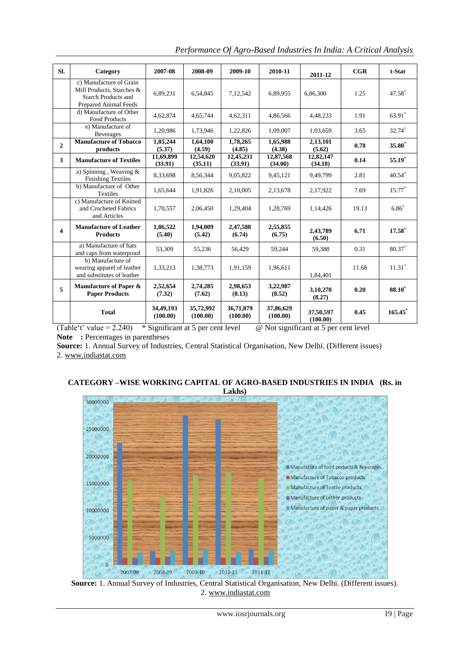| SI.                     | Category                                                                                             | 2007-08               | 2008-09               | 2009-10               | 2010-11               | 2011-12               | CGR   | t-Stat                |
|-------------------------|------------------------------------------------------------------------------------------------------|-----------------------|-----------------------|-----------------------|-----------------------|-----------------------|-------|-----------------------|
|                         | c) Manufacture of Grain<br>Mill Products, Starches &<br>Starch Products and<br>Prepared Animal Feeds | 6,89,231              | 6,54,845              | 7,12,542              | 6,89,955              | 6,86,300              | 1.25  | 47.58*                |
|                         | d) Manufacture of Other<br><b>Food Products</b>                                                      | 4,62,874              | 4,65,744              | 4,62,311              | 4,86,566              | 4,48,233              | 1.91  | 63.91*                |
|                         | e) Manufacture of<br><b>Beverages</b>                                                                | 1,20,986              | 1,73,946              | 1,22,826              | 1,09,007              | 1,03,659              | 3.65  | 32.74*                |
| $\overline{2}$          | <b>Manufacture of Tobacco</b><br>products                                                            | 1,85,244<br>(5.37)    | 1,64,100<br>(4.59)    | 1,78,265<br>(4.85)    | 1.65.988<br>(4.38)    | 2,13,101<br>(5.62)    | 0.78  | $35.80*$              |
| 3                       | <b>Manufacture of Textiles</b>                                                                       | 11,69,899<br>(33.91)  | 12,54,620<br>(35.11)  | 12,45,231<br>(33.91)  | 12,87,568<br>(34.00)  | 12,82,147<br>(34.18)  | 0.14  | $55.19*$              |
|                         | a) Spinning, Weaving $\&$<br><b>Finishing Textiles</b>                                               | 8,33,698              | 8,56,344              | 9,05,822              | 9,45,121              | 9,49,799              | 2.81  | $40.54$ <sup>*</sup>  |
|                         | b) Manufacture of Other<br><b>Textiles</b>                                                           | 1,65,644              | 1,91,826              | 2,10,005              | 2,13,678              | 2,17,922              | 7.69  | $15.77*$              |
|                         | c) Manufacture of Knitted<br>and Crocheted Fabrics<br>and Articles                                   | 1,70,557              | 2,06,450              | 1,29,404              | 1,28,769              | 1,14,426              | 19.13 | $6.86*$               |
| $\overline{\mathbf{4}}$ | <b>Manufacture of Leather</b><br><b>Products</b>                                                     | 1,86,522<br>(5.40)    | 1,94,009<br>(5.42)    | 2,47,588<br>(6.74)    | 2,55,855<br>(6.75)    | 2,43,789<br>(6.50)    | 6.71  | $17.58^*$             |
|                         | a) Manufacture of hats<br>and caps from waterproof                                                   | 53,309                | 55,236                | 56,429                | 59,244                | 59,388                | 0.31  | 80.37*                |
|                         | b) Manufacture of<br>wearing apparel of leather<br>and substitutes of leather                        | 1,33,213              | 1,38,773              | 1,91,159              | 1,96,611              | 1,84,401              | 11.68 | $11.31*$              |
| 5                       | Manufacture of Paper &<br><b>Paper Products</b>                                                      | 2,52,654<br>(7.32)    | 2,74,285<br>(7.62)    | 2,98,653<br>(8.13)    | 3,22,987<br>(8.52)    | 3,10,270<br>(8.27)    | 0.20  | <b>88.10</b> *        |
|                         | <b>Total</b>                                                                                         | 34,49,193<br>(100.00) | 35,72,992<br>(100.00) | 36,71,879<br>(100.00) | 37,86,629<br>(100.00) | 37,50,597<br>(100.00) | 0.45  | $165.45$ <sup>*</sup> |

*Performance Of Agro-Based Industries In India: A Critical Analysis*

(Table't' value =  $2.240$ ) \* Significant at 5 per cent level @ Not significant at 5 per cent level Note : Percentages in parentheses

**Source:** 1. Annual Survey of Industries, Central Statistical Organisation, New Delhi. (Different issues) 2. [www.indiastat.com](http://www.indiastat.com/)

# **CATEGORY –WISE WORKING CAPITAL OF AGRO-BASED INDUSTRIES IN INDIA (Rs. in Lakhs)**



**Source:** 1. Annual Survey of Industries, Central Statistical Organisation, New Delhi. (Different issues). 2[. www.indiastat.com](http://www.indiastat.com/)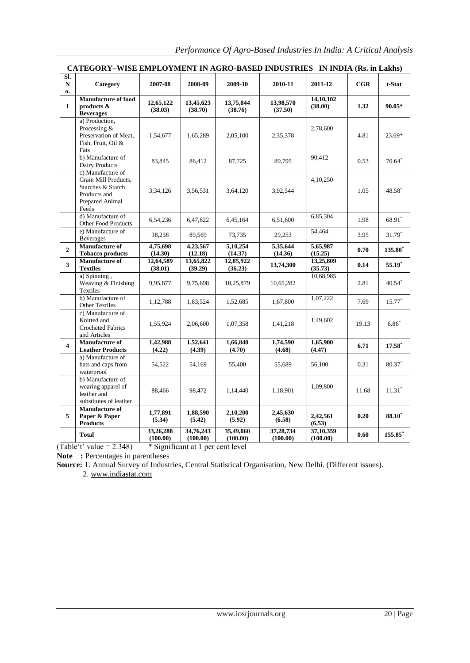| Sl.                     |                                                                                                            |                       |                       |                       |                       |                       |       |                      |
|-------------------------|------------------------------------------------------------------------------------------------------------|-----------------------|-----------------------|-----------------------|-----------------------|-----------------------|-------|----------------------|
| N<br>$\mathbf{0}$       | Category                                                                                                   | 2007-08               | 2008-09               | 2009-10               | 2010-11               | 2011-12               | CGR   | t-Stat               |
| $\mathbf{1}$            | Manufacture of food<br>products $\&$<br><b>Beverages</b>                                                   | 12,65,122<br>(38.03)  | 13,45,623<br>(38.70)  | 13,75,844<br>(38.76)  | 13,98,570<br>(37.50)  | 14,10,102<br>(38.00)  | 1.32  | $90.05*$             |
|                         | a) Production,<br>Processing &<br>Preservation of Meat,<br>Fish. Fruit. Oil &<br>Fats                      | 1,54,677              | 1,65,289              | 2,05,100              | 2,35,378              | 2,78,600              | 4.81  | 23.69*               |
|                         | b) Manufacture of<br>Dairy Products                                                                        | 83,845                | 86,412                | 87,725                | 89,795                | 90,412                | 0.53  | $70.64$ <sup>*</sup> |
|                         | c) Manufacture of<br>Grain Mill Products,<br>Starches & Starch<br>Products and<br>Prepared Animal<br>Feeds | 3,34,126              | 3,56,531              | 3,64,120              | 3,92,544              | 4,10,250              | 1.05  | 48.58*               |
|                         | d) Manufacture of<br>Other Food Products                                                                   | 6,54,236              | 6,47,822              | 6,45,164              | 6,51,600              | 6,85,304              | 1.98  | 68.91*               |
|                         | e) Manufacture of<br><b>Beverages</b>                                                                      | 38,238                | 89,569                | 73,735                | 29,253                | 54,464                | 3.95  | $31.79*$             |
| $\overline{2}$          | Manufacture of<br><b>Tobacco products</b>                                                                  | 4,75,698<br>(14.30)   | 4,23,567<br>(12.18)   | 5,10,254<br>(14.37)   | 5,35,644<br>(14.36)   | 5,65,987<br>(15.25)   | 0.70  | 135.80 <sup>*</sup>  |
| 3                       | Manufacture of<br><b>Textiles</b>                                                                          | 12,64,589<br>(38.01)  | 13,65,822<br>(39.29)  | 12,85,922<br>(36.23)  | 13,74,300             | 13,25,809<br>(35.73)  | 0.14  | $55.19*$             |
|                         | a) Spinning,<br>Weaving & Finishing<br>Textiles                                                            | 9,95,877              | 9,75,698              | 10,25,879             | 10,65,282             | 10,68,985             | 2.81  | $40.54$ <sup>*</sup> |
|                         | b) Manufacture of<br><b>Other Textiles</b>                                                                 | 1,12,788              | 1,83,524              | 1,52,685              | 1,67,800              | 1,07,222              | 7.69  | $15.77*$             |
|                         | c) Manufacture of<br>Knitted and<br><b>Crocheted Fabrics</b><br>and Articles                               | 1,55,924              | 2,06,600              | 1,07,358              | 1,41,218              | 1,49,602              | 19.13 | $6.86*$              |
| $\overline{\mathbf{4}}$ | Manufacture of<br><b>Leather Products</b>                                                                  | 1,42,988<br>(4.22)    | 1,52,641<br>(4.39)    | 1,66,840<br>(4.70)    | 1,74,590<br>(4.68)    | 1,65,900<br>(4.47)    | 6.71  | $17.58^*$            |
|                         | a) Manufacture of<br>hats and caps from<br>waterproof                                                      | 54,522                | 54,169                | 55,400                | 55,689                | 56,100                | 0.31  | $80.37^*$            |
|                         | b) Manufacture of<br>wearing apparel of<br>leather and<br>substitutes of leather                           | 88,466                | 98,472                | 1,14,440              | 1,18,901              | 1,09,800              | 11.68 | $11.31*$             |
| 5                       | <b>Manufacture of</b><br>Paper & Paper<br><b>Products</b>                                                  | 1,77,891<br>(5.34)    | 1,88,590<br>(5.42)    | 2,10,200<br>(5.92)    | 2,45,630<br>(6.58)    | 2,42,561<br>(6.53)    | 0.20  | $88.10^*$            |
|                         | <b>Total</b>                                                                                               | 33,26,288<br>(100.00) | 34,76,243<br>(100.00) | 35,49,060<br>(100.00) | 37,28,734<br>(100.00) | 37,10,359<br>(100.00) | 0.60  | 155.85*              |

# **CATEGORY–WISE EMPLOYMENT IN AGRO-BASED INDUSTRIES IN INDIA (Rs. in Lakhs)**

 $(Table't' value = 2.348)$  \* Significant at 1 per cent level

Note : Percentages in parentheses

**Source:** 1. Annual Survey of Industries, Central Statistical Organisation, New Delhi. (Different issues).

2. [www.indiastat.com](http://www.indiastat.com/)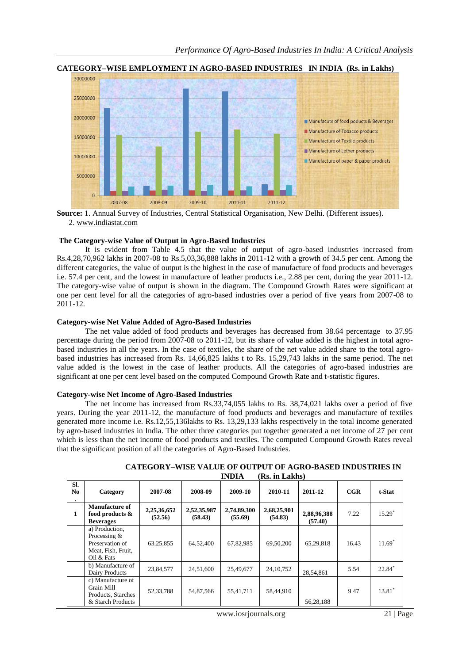

#### **CATEGORY–WISE EMPLOYMENT IN AGRO-BASED INDUSTRIES IN INDIA (Rs. in Lakhs)**

**Source:** 1. Annual Survey of Industries, Central Statistical Organisation, New Delhi. (Different issues). 2. [www.indiastat.com](http://www.indiastat.com/)

#### **The Category-wise Value of Output in Agro-Based Industries**

It is evident from Table 4.5 that the value of output of agro-based industries increased from Rs.4,28,70,962 lakhs in 2007-08 to Rs.5,03,36,888 lakhs in 2011-12 with a growth of 34.5 per cent. Among the different categories, the value of output is the highest in the case of manufacture of food products and beverages i.e. 57.4 per cent, and the lowest in manufacture of leather products i.e., 2.88 per cent, during the year 2011-12. The category-wise value of output is shown in the diagram. The Compound Growth Rates were significant at one per cent level for all the categories of agro-based industries over a period of five years from 2007-08 to 2011-12.

#### **Category-wise Net Value Added of Agro-Based Industries**

The net value added of food products and beverages has decreased from 38.64 percentage to 37.95 percentage during the period from 2007-08 to 2011-12, but its share of value added is the highest in total agrobased industries in all the years. In the case of textiles, the share of the net value added share to the total agrobased industries has increased from Rs. 14,66,825 lakhs t to Rs. 15,29,743 lakhs in the same period. The net value added is the lowest in the case of leather products. All the categories of agro-based industries are significant at one per cent level based on the computed Compound Growth Rate and t-statistic figures.

#### **Category-wise Net Income of Agro-Based Industries**

The net income has increased from Rs.33,74,055 lakhs to Rs. 38,74,021 lakhs over a period of five years. During the year 2011-12, the manufacture of food products and beverages and manufacture of textiles generated more income i.e. Rs.12,55,136lakhs to Rs. 13,29,133 lakhs respectively in the total income generated by agro-based industries in India. The other three categories put together generated a net income of 27 per cent which is less than the net income of food products and textiles. The computed Compound Growth Rates reveal that the significant position of all the categories of Agro-Based Industries.

|              |                                                                                       |                        |                        | INDIA                  | Ks. in Lakhs)          |                        |       |          |
|--------------|---------------------------------------------------------------------------------------|------------------------|------------------------|------------------------|------------------------|------------------------|-------|----------|
| SI.<br>No.   | Category                                                                              | 2007-08                | 2008-09                | 2009-10                | 2010-11                | 2011-12                | CGR   | t-Stat   |
| $\mathbf{1}$ | Manufacture of<br>food products $\&$<br><b>Beverages</b>                              | 2,25,36,652<br>(52.56) | 2,52,35,987<br>(58.43) | 2,74,89,300<br>(55.69) | 2,68,25,901<br>(54.83) | 2,88,96,388<br>(57.40) | 7.22  | $15.29*$ |
|              | a) Production.<br>Processing &<br>Preservation of<br>Meat, Fish, Fruit,<br>Oil & Fats | 63,25,855              | 64,52,400              | 67,82,985              | 69,50,200              | 65,29,818              | 16.43 | $11.69*$ |
|              | b) Manufacture of<br>Dairy Products                                                   | 23,84,577              | 24,51,600              | 25,49,677              | 24, 10, 752            | 28,54,861              | 5.54  | 22.84*   |
|              | c) Manufacture of<br>Grain Mill<br>Products, Starches<br>& Starch Products            | 52,33,788              | 54,87,566              | 55,41,711              | 58,44,910              | 56,28,188              | 9.47  | $13.81*$ |

#### **CATEGORY–WISE VALUE OF OUTPUT OF AGRO-BASED INDUSTRIES IN INDIA (Rs. in Lakhs)**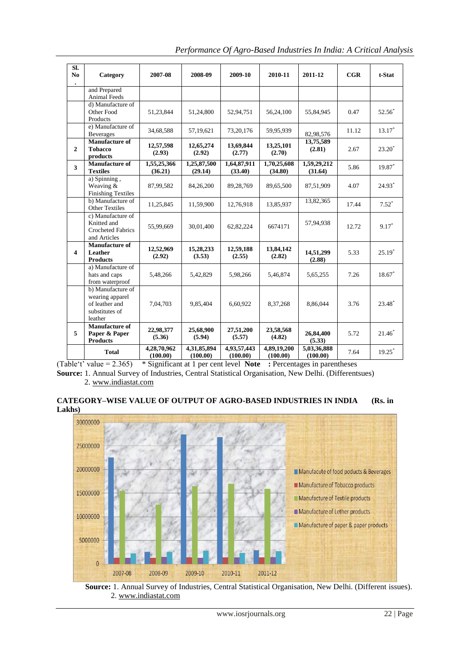| $\overline{\text{SL}}$<br>N <sub>0</sub> | Category                                                                            | 2007-08                 | 2008-09                 | 2009-10                 | 2010-11                 | 2011-12                 | $_{\rm CGR}$ | t-Stat    |
|------------------------------------------|-------------------------------------------------------------------------------------|-------------------------|-------------------------|-------------------------|-------------------------|-------------------------|--------------|-----------|
|                                          | and Prepared<br>Animal Feeds                                                        |                         |                         |                         |                         |                         |              |           |
|                                          | d) Manufacture of<br>Other Food<br>Products                                         | 51,23,844               | 51,24,800               | 52,94,751               | 56,24,100               | 55,84,945               | 0.47         | $52.56^*$ |
|                                          | e) Manufacture of<br><b>Beverages</b>                                               | 34,68,588               | 57,19,621               | 73, 20, 176             | 59,95,939               | 82,98,576               | 11.12        | $13.17*$  |
| $\mathbf{2}$                             | <b>Manufacture of</b><br><b>Tobacco</b><br>products                                 | 12,57,598<br>(2.93)     | 12,65,274<br>(2.92)     | 13,69,844<br>(2.77)     | 13,25,101<br>(2.70)     | 13,75,589<br>(2.81)     | 2.67         | $23.20^*$ |
| $\overline{\mathbf{3}}$                  | <b>Manufacture of</b><br><b>Textiles</b>                                            | 1,55,25,366<br>(36.21)  | 1,25,87,500<br>(29.14)  | 1,64,87,911<br>(33.40)  | 1,70,25,608<br>(34.80)  | 1,59,29,212<br>(31.64)  | 5.86         | 19.87*    |
|                                          | a) Spinning,<br>Weaving &<br><b>Finishing Textiles</b>                              | 87,99,582               | 84,26,200               | 89,28,769               | 89,65,500               | 87,51,909               | 4.07         | $24.93*$  |
|                                          | b) Manufacture of<br><b>Other Textiles</b>                                          | 11,25,845               | 11,59,900               | 12,76,918               | 13,85,937               | 13,82,365               | 17.44        | $7.52^*$  |
|                                          | c) Manufacture of<br>Knitted and<br><b>Crocheted Fabrics</b><br>and Articles        | 55,99,669               | 30,01,400               | 62,82,224               | 6674171                 | 57,94,938               | 12.72        | $9.17*$   |
| $\overline{\mathbf{4}}$                  | <b>Manufacture of</b><br>Leather<br><b>Products</b>                                 | 12,52,969<br>(2.92)     | 15,28,233<br>(3.53)     | 12,59,188<br>(2.55)     | 13,84,142<br>(2.82)     | 14,51,299<br>(2.88)     | 5.33         | $25.19*$  |
|                                          | a) Manufacture of<br>hats and caps<br>from waterproof                               | 5,48,266                | 5,42,829                | 5,98,266                | 5,46,874                | 5,65,255                | 7.26         | $18.67*$  |
|                                          | b) Manufacture of<br>wearing apparel<br>of leather and<br>substitutes of<br>leather | 7,04,703                | 9,85,404                | 6,60,922                | 8,37,268                | 8,86,044                | 3.76         | 23.48*    |
| 5                                        | <b>Manufacture of</b><br>Paper & Paper<br><b>Products</b>                           | 22,98,377<br>(5.36)     | 25,68,900<br>(5.94)     | 27,51,200<br>(5.57)     | 23,58,568<br>(4.82)     | 26,84,400<br>(5.33)     | 5.72         | $21.46^*$ |
|                                          | <b>Total</b>                                                                        | 4,28,70,962<br>(100.00) | 4,31,85,894<br>(100.00) | 4,93,57,443<br>(100.00) | 4,89,19,200<br>(100.00) | 5,03,36,888<br>(100.00) | 7.64         | $19.25^*$ |

*Performance Of Agro-Based Industries In India: A Critical Analysis*

(Table"t" value = 2.365) \* Significant at 1 per cent level **Note :** Percentages in parentheses **Source:** 1. Annual Survey of Industries, Central Statistical Organisation, New Delhi. (Differentsues)

2. [www.indiastat.com](http://www.indiastat.com/)

**CATEGORY–WISE VALUE OF OUTPUT OF AGRO-BASED INDUSTRIES IN INDIA (Rs. in Lakhs)**



**Source:** 1. Annual Survey of Industries, Central Statistical Organisation, New Delhi. (Different issues). 2[. www.indiastat.com](http://www.indiastat.com/)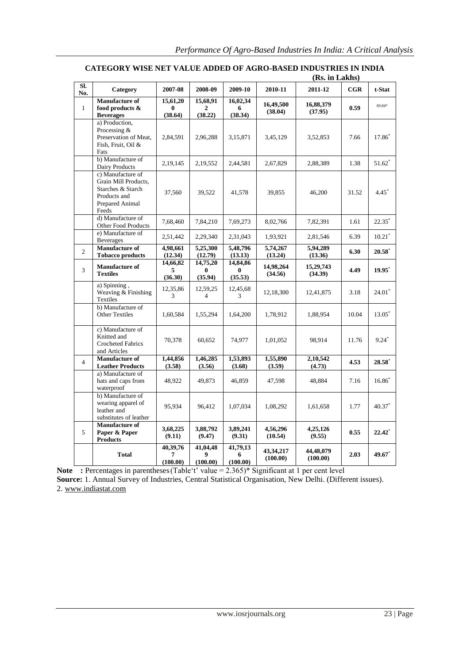|                |                                                                                                            | (Rs. in Lakhs)            |                            |                           |                       |                       |       |                      |  |
|----------------|------------------------------------------------------------------------------------------------------------|---------------------------|----------------------------|---------------------------|-----------------------|-----------------------|-------|----------------------|--|
| SI.<br>No.     | Category                                                                                                   | 2007-08                   | 2008-09                    | 2009-10                   | 2010-11               | 2011-12               | CGR   | t-Stat               |  |
| $\mathbf{1}$   | Manufacture of<br>food products &<br><b>Beverages</b>                                                      | 15,61,20<br>0<br>(38.64)  | 15,68,91<br>2<br>(38.22)   | 16,02,34<br>6<br>(38.34)  | 16,49,500<br>(38.04)  | 16,88,379<br>(37.95)  | 0.59  | 69.84*               |  |
|                | a) Production,<br>Processing &<br>Preservation of Meat,<br>Fish, Fruit, Oil &<br>Fats                      | 2,84,591                  | 2,96,288                   | 3,15,871                  | 3,45,129              | 3,52,853              | 7.66  | 17.86*               |  |
|                | b) Manufacture of<br>Dairy Products                                                                        | 2,19,145                  | 2,19,552                   | 2,44,581                  | 2,67,829              | 2,88,389              | 1.38  | $51.62*$             |  |
|                | c) Manufacture of<br>Grain Mill Products,<br>Starches & Starch<br>Products and<br>Prepared Animal<br>Feeds | 37,560                    | 39,522                     | 41,578                    | 39,855                | 46,200                | 31.52 | $4.45^*$             |  |
|                | d) Manufacture of<br>Other Food Products                                                                   | 7,68,460                  | 7,84,210                   | 7,69,273                  | 8,02,766              | 7,82,391              | 1.61  | $22.35^*$            |  |
|                | e) Manufacture of<br><b>Beverages</b>                                                                      | 2,51,442                  | 2,29,340                   | 2,31,043                  | 1,93,921              | 2,81,546              | 6.39  | $10.21$ <sup>*</sup> |  |
| $\overline{2}$ | <b>Manufacture of</b><br><b>Tobacco products</b>                                                           | 4,98,661<br>(12.34)       | 5,25,300<br>(12.79)        | 5,48,796<br>(13.13)       | 5,74,267<br>(13.24)   | 5,94,289<br>(13.36)   | 6.30  | $20.58^*$            |  |
| 3              | Manufacture of<br><b>Textiles</b>                                                                          | 14,66,82<br>5<br>(36.30)  | 14,75,20<br>0<br>(35.94)   | 14,84,86<br>0<br>(35.53)  | 14,98,264<br>(34.56)  | 15,29,743<br>(34.39)  | 4.49  | $19.95$ <sup>*</sup> |  |
|                | a) Spinning,<br>Weaving & Finishing<br>Textiles                                                            | 12,35,86<br>3             | 12,59,25<br>$\overline{4}$ | 12,45,68<br>3             | 12,18,300             | 12,41,875             | 3.18  | $24.01*$             |  |
|                | b) Manufacture of<br><b>Other Textiles</b>                                                                 | 1,60,584                  | 1,55,294                   | 1,64,200                  | 1,78,912              | 1,88,954              | 10.04 | 13.05*               |  |
|                | c) Manufacture of<br>Knitted and<br><b>Crocheted Fabrics</b><br>and Articles                               | 70,378                    | 60.652                     | 74,977                    | 1,01,052              | 98,914                | 11.76 | $9.24*$              |  |
| $\overline{4}$ | Manufacture of<br><b>Leather Products</b>                                                                  | 1,44,856<br>(3.58)        | 1,46,285<br>(3.56)         | 1,53,893<br>(3.68)        | 1,55,890<br>(3.59)    | 2,10,542<br>(4.73)    | 4.53  | $28.58*$             |  |
|                | a) Manufacture of<br>hats and caps from<br>waterproof                                                      | 48,922                    | 49,873                     | 46,859                    | 47,598                | 48,884                | 7.16  | $16.86^*$            |  |
|                | b) Manufacture of<br>wearing apparel of<br>leather and<br>substitutes of leather                           | 95,934                    | 96.412                     | 1,07,034                  | 1,08,292              | 1,61,658              | 1.77  | 40.37 <sup>*</sup>   |  |
| 5              | Manufacture of<br>Paper & Paper<br><b>Products</b>                                                         | 3,68,225<br>(9.11)        | 3,88,792<br>(9.47)         | 3,89,241<br>(9.31)        | 4,56,296<br>(10.54)   | 4,25,126<br>(9.55)    | 0.55  | $22.42^*$            |  |
|                | <b>Total</b>                                                                                               | 40,39,76<br>7<br>(100.00) | 41,04,48<br>9<br>(100.00)  | 41,79,13<br>6<br>(100.00) | 43,34,217<br>(100.00) | 44,48,079<br>(100.00) | 2.03  | 49.67 $\degree$      |  |

# **CATEGORY WISE NET VALUE ADDED OF AGRO-BASED INDUSTRIES IN INDIA**

**Note** : Percentages in parentheses (Table't' value = 2.365)\* Significant at 1 per cent level **Source:** 1. Annual Survey of Industries, Central Statistical Organisation, New Delhi. (Different issues). 2. [www.indiastat.com](http://www.indiastat.com/)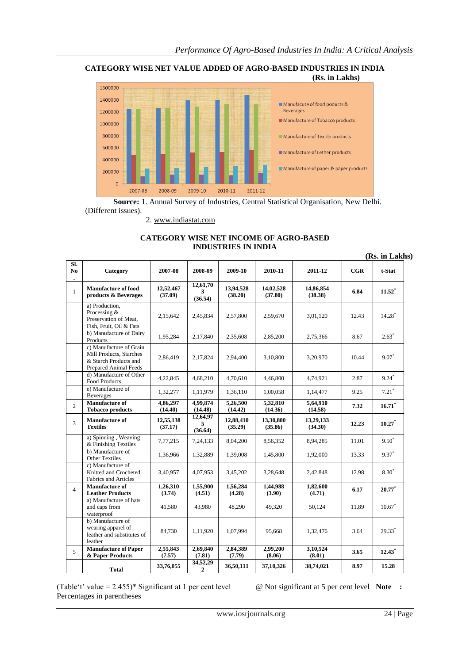



**Source:** 1. Annual Survey of Industries, Central Statistical Organisation, New Delhi. (Different issues).

2. [www.indiastat.com](http://www.indiastat.com/)

# **CATEGORY WISE NET INCOME OF AGRO-BASED INDUSTRIES IN INDIA**

| SI.            |                                                                                                             |                      |                            |                      |                      |                      |              | (Rs. in Lakhs)       |
|----------------|-------------------------------------------------------------------------------------------------------------|----------------------|----------------------------|----------------------|----------------------|----------------------|--------------|----------------------|
| N <sub>0</sub> | Category                                                                                                    | 2007-08              | 2008-09                    | 2009-10              | 2010-11              | 2011-12              | $_{\rm CGR}$ | t-Stat               |
| $\mathbf{1}$   | Manufacture of food<br>products & Beverages                                                                 | 12,52,467<br>(37.09) | 12,61,70<br>3<br>(36.54)   | 13,94,528<br>(38.20) | 14,02,528<br>(37.80) | 14,86,854<br>(38.38) | 6.84         | $11.52^*$            |
|                | a) Production,<br>Processing &<br>Preservation of Meat,<br>Fish, Fruit, Oil & Fats                          | 2,15,642             | 2,45,834                   | 2,57,800             | 2,59,670             | 3,01,120             | 12.43        | $14.28$ <sup>*</sup> |
|                | b) Manufacture of Dairy<br>Products                                                                         | 1,95,284             | 2,17,840                   | 2,35,608             | 2,85,200             | 2,75,366             | 8.67         | $2.63*$              |
|                | c) Manufacture of Grain<br>Mill Products, Starches<br>& Starch Products and<br><b>Prepared Animal Feeds</b> | 2,86,419             | 2,17,824                   | 2,94,400             | 3,10,800             | 3,20,970             | 10.44        | $9.07*$              |
|                | d) Manufacture of Other<br><b>Food Products</b>                                                             | 4,22,845             | 4,68,210                   | 4,70,610             | 4,46,800             | 4,74,921             | 2.87         | $9.24$ <sup>*</sup>  |
|                | e) Manufacture of<br><b>Beverages</b>                                                                       | 1,32,277             | 1,11,979                   | 1,36,110             | 1,00,058             | 1,14,477             | 9.25         | $7.21*$              |
| $\overline{2}$ | <b>Manufacture of</b><br><b>Tobacco products</b>                                                            | 4,86,297<br>(14.40)  | 4,99,874<br>(14.48)        | 5,26,500<br>(14.42)  | 5,32,810<br>(14.36)  | 5,64,910<br>(14.58)  | 7.32         | $16.71^*$            |
| 3              | <b>Manufacture of</b><br><b>Textiles</b>                                                                    | 12,55,138<br>(37.17) | 12,64,97<br>5<br>(36.64)   | 12,88,410<br>(35.29) | 13,30,800<br>(35.86) | 13,29,133<br>(34.30) | 12.23        | $10.27*$             |
|                | a) Spinning, Weaving<br>& Finishing Textiles                                                                | 7,77,215             | 7, 24, 133                 | 8,04,200             | 8,56,352             | 8,94,285             | 11.01        | $9.50^*$             |
|                | b) Manufacture of<br><b>Other Textiles</b>                                                                  | 1,36,966             | 1,32,889                   | 1,39,008             | 1,45,800             | 1,92,000             | 13.33        | $9.37*$              |
|                | c) Manufacture of<br>Knitted and Crocheted<br><b>Fabrics and Articles</b>                                   | 3,40,957             | 4,07,953                   | 3,45,202             | 3,28,648             | 2,42,848             | 12.98        | $8.30*$              |
| $\overline{4}$ | <b>Manufacture of</b><br><b>Leather Products</b>                                                            | 1.26.310<br>(3.74)   | 1.55,900<br>(4.51)         | 1,56,284<br>(4.28)   | 1.44.988<br>(3.90)   | 1,82,600<br>(4.71)   | 6.17         | $20.77^*$            |
|                | a) Manufacture of hats<br>and caps from<br>waterproof                                                       | 41,580               | 43,980                     | 48,290               | 49,320               | 50,124               | 11.89        | $10.67$ <sup>*</sup> |
|                | b) Manufacture of<br>wearing apparel of<br>leather and substitutes of<br>leather                            | 84,730               | 1,11,920                   | 1,07,994             | 95,668               | 1,32,476             | 3.64         | $29.33*$             |
| 5              | <b>Manufacture of Paper</b><br>& Paper Products                                                             | 2,55,843<br>(7.57)   | 2,69,840<br>(7.81)         | 2,84,389<br>(7.79)   | 2,99,200<br>(8.06)   | 3,10,524<br>(8.01)   | 3.65         | $12.43$ <sup>*</sup> |
|                | <b>Total</b>                                                                                                | 33,76,055            | 34,52,29<br>$\overline{2}$ | 36,50,111            | 37,10,326            | 38,74,021            | 8.97         | 15.28                |

(Table"t" value = 2.455)\* Significant at 1 per cent level @ Not significant at 5 per cent level **Note :**  Percentages in parentheses